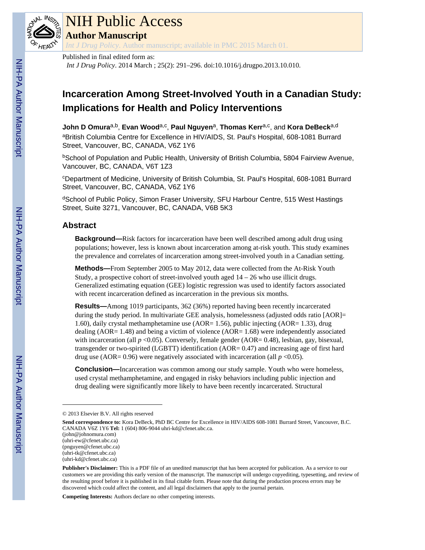

# NIH Public Access

**Author Manuscript**

*Int J Drug Policy*. Author manuscript; available in PMC 2015 March 01.

#### Published in final edited form as:

*Int J Drug Policy*. 2014 March ; 25(2): 291–296. doi:10.1016/j.drugpo.2013.10.010.

## **Incarceration Among Street-Involved Youth in a Canadian Study: Implications for Health and Policy Interventions**

 $\sigma$ John D Omura<sup>a,b</sup>, Evan Wood<sup>a,c</sup>, Paul Nguyen<sup>a</sup>, Thomas Kerr<sup>a,c</sup>, and Kora DeBeck<sup>a,d</sup> aBritish Columbia Centre for Excellence in HIV/AIDS, St. Paul's Hospital, 608-1081 Burrard Street, Vancouver, BC, CANADA, V6Z 1Y6

**bSchool of Population and Public Health, University of British Columbia, 5804 Fairview Avenue,** Vancouver, BC, CANADA, V6T 1Z3

<sup>c</sup>Department of Medicine, University of British Columbia, St. Paul's Hospital, 608-1081 Burrard Street, Vancouver, BC, CANADA, V6Z 1Y6

<sup>d</sup>School of Public Policy, Simon Fraser University, SFU Harbour Centre, 515 West Hastings Street, Suite 3271, Vancouver, BC, CANADA, V6B 5K3

### **Abstract**

**Background—**Risk factors for incarceration have been well described among adult drug using populations; however, less is known about incarceration among at-risk youth. This study examines the prevalence and correlates of incarceration among street-involved youth in a Canadian setting.

**Methods—**From September 2005 to May 2012, data were collected from the At-Risk Youth Study, a prospective cohort of street-involved youth aged  $14 - 26$  who use illicit drugs. Generalized estimating equation (GEE) logistic regression was used to identify factors associated with recent incarceration defined as incarceration in the previous six months.

**Results—**Among 1019 participants, 362 (36%) reported having been recently incarcerated during the study period. In multivariate GEE analysis, homelessness (adjusted odds ratio [AOR]= 1.60), daily crystal methamphetamine use (AOR= 1.56), public injecting (AOR= 1.33), drug dealing (AOR= 1.48) and being a victim of violence (AOR=  $1.68$ ) were independently associated with incarceration (all  $p \le 0.05$ ). Conversely, female gender (AOR= 0.48), lesbian, gay, bisexual, transgender or two-spirited (LGBTT) identification (AOR= 0.47) and increasing age of first hard drug use (AOR=  $0.96$ ) were negatively associated with incarceration (all  $p < 0.05$ ).

**Conclusion—**Incarceration was common among our study sample. Youth who were homeless, used crystal methamphetamine, and engaged in risky behaviors including public injection and drug dealing were significantly more likely to have been recently incarcerated. Structural

**Competing Interests:** Authors declare no other competing interests.

<sup>© 2013</sup> Elsevier B.V. All rights reserved

**Send correspondence to:** Kora DeBeck, PhD BC Centre for Excellence in HIV/AIDS 608-1081 Burrard Street, Vancouver, B.C. CANADA V6Z 1Y6 **Tel:** 1 (604) 806-9044 uhri-kd@cfenet.ubc.ca.

<sup>(</sup>john@johnomura.com)

<sup>(</sup>uhri-ew@cfenet.ubc.ca)

<sup>(</sup>pnguyen@cfenet.ubc.ca) (uhri-tk@cfenet.ubc.ca)

<sup>(</sup>uhri-kd@cfenet.ubc.ca)

**Publisher's Disclaimer:** This is a PDF file of an unedited manuscript that has been accepted for publication. As a service to our customers we are providing this early version of the manuscript. The manuscript will undergo copyediting, typesetting, and review of the resulting proof before it is published in its final citable form. Please note that during the production process errors may be discovered which could affect the content, and all legal disclaimers that apply to the journal pertain.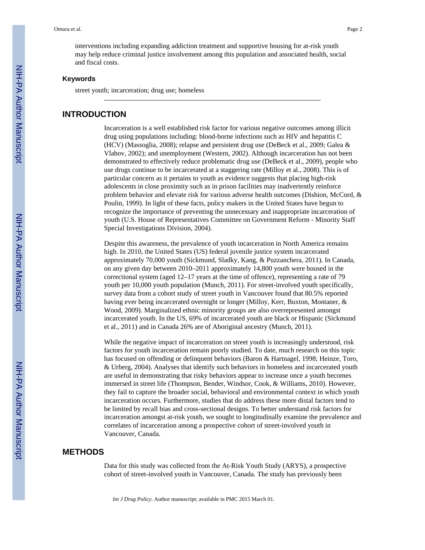interventions including expanding addiction treatment and supportive housing for at-risk youth may help reduce criminal justice involvement among this population and associated health, social and fiscal costs.

#### **Keywords**

street youth; incarceration; drug use; homeless

### **INTRODUCTION**

Incarceration is a well established risk factor for various negative outcomes among illicit drug using populations including: blood-borne infections such as HIV and hepatitis C (HCV) (Massoglia, 2008); relapse and persistent drug use (DeBeck et al., 2009; Galea & Vlahov, 2002); and unemployment (Western, 2002). Although incarceration has not been demonstrated to effectively reduce problematic drug use (DeBeck et al., 2009), people who use drugs continue to be incarcerated at a staggering rate (Milloy et al., 2008). This is of particular concern as it pertains to youth as evidence suggests that placing high-risk adolescents in close proximity such as in prison facilities may inadvertently reinforce problem behavior and elevate risk for various adverse health outcomes (Dishion, McCord, & Poulin, 1999). In light of these facts, policy makers in the United States have begun to recognize the importance of preventing the unnecessary and inappropriate incarceration of youth (U.S. House of Representatives Committee on Government Reform - Minority Staff Special Investigations Division, 2004).

Despite this awareness, the prevalence of youth incarceration in North America remains high. In 2010, the United States (US) federal juvenile justice system incarcerated approximately 70,000 youth (Sickmund, Sladky, Kang, & Puzzanchera, 2011). In Canada, on any given day between 2010–2011 approximately 14,800 youth were housed in the correctional system (aged 12–17 years at the time of offence), representing a rate of 79 youth per 10,000 youth population (Munch, 2011). For street-involved youth specifically, survey data from a cohort study of street youth in Vancouver found that 80.5% reported having ever being incarcerated overnight or longer (Milloy, Kerr, Buxton, Montaner, & Wood, 2009). Marginalized ethnic minority groups are also overrepresented amongst incarcerated youth. In the US, 69% of incarcerated youth are black or Hispanic (Sickmund et al., 2011) and in Canada 26% are of Aboriginal ancestry (Munch, 2011).

While the negative impact of incarceration on street youth is increasingly understood, risk factors for youth incarceration remain poorly studied. To date, much research on this topic has focused on offending or delinquent behaviors (Baron & Hartnagel, 1998; Heinze, Toro, & Urberg, 2004). Analyses that identify such behaviors in homeless and incarcerated youth are useful in demonstrating that risky behaviors appear to increase once a youth becomes immersed in street life (Thompson, Bender, Windsor, Cook, & Williams, 2010). However, they fail to capture the broader social, behavioral and environmental context in which youth incarceration occurs. Furthermore, studies that do address these more distal factors tend to be limited by recall bias and cross-sectional designs. To better understand risk factors for incarceration amongst at-risk youth, we sought to longitudinally examine the prevalence and correlates of incarceration among a prospective cohort of street-involved youth in Vancouver, Canada.

#### **METHODS**

Data for this study was collected from the At-Risk Youth Study (ARYS), a prospective cohort of street-involved youth in Vancouver, Canada. The study has previously been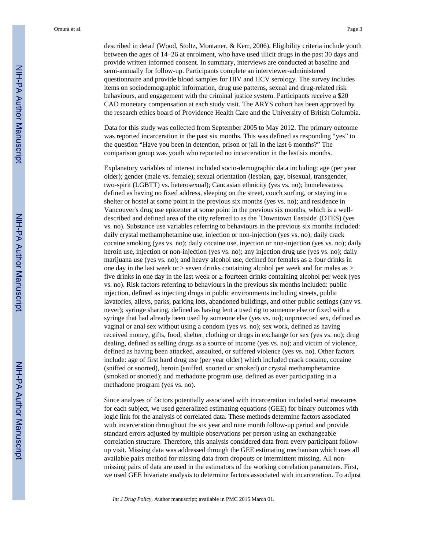described in detail (Wood, Stoltz, Montaner, & Kerr, 2006). Eligibility criteria include youth between the ages of 14–26 at enrolment, who have used illicit drugs in the past 30 days and provide written informed consent. In summary, interviews are conducted at baseline and semi-annually for follow-up. Participants complete an interviewer-administered questionnaire and provide blood samples for HIV and HCV serology. The survey includes items on sociodemographic information, drug use patterns, sexual and drug-related risk behaviours, and engagement with the criminal justice system. Participants receive a \$20 CAD monetary compensation at each study visit. The ARYS cohort has been approved by the research ethics board of Providence Health Care and the University of British Columbia.

Data for this study was collected from September 2005 to May 2012. The primary outcome was reported incarceration in the past six months. This was defined as responding "yes" to the question "Have you been in detention, prison or jail in the last 6 months?" The comparison group was youth who reported no incarceration in the last six months.

Explanatory variables of interest included socio-demographic data including: age (per year older); gender (male vs. female); sexual orientation (lesbian, gay, bisexual, transgender, two-spirit (LGBTT) vs. heterosexual); Caucasian ethnicity (yes vs. no); homelessness, defined as having no fixed address, sleeping on the street, couch surfing, or staying in a shelter or hostel at some point in the previous six months (yes vs. no); and residence in Vancouver's drug use epicenter at some point in the previous six months, which is a welldescribed and defined area of the city referred to as the `Downtown Eastside' (DTES) (yes vs. no). Substance use variables referring to behaviours in the previous six months included: daily crystal methamphetamine use, injection or non-injection (yes vs. no); daily crack cocaine smoking (yes vs. no); daily cocaine use, injection or non-injection (yes vs. no); daily heroin use, injection or non-injection (yes vs. no); any injection drug use (yes vs. no); daily marijuana use (yes vs. no); and heavy alcohol use, defined for females as four drinks in one day in the last week or zeven drinks containing alcohol per week and for males as five drinks in one day in the last week or <br>fourteen drinks containing alcohol per week (yes vs. no). Risk factors referring to behaviours in the previous six months included: public injection, defined as injecting drugs in public environments including streets, public lavatories, alleys, parks, parking lots, abandoned buildings, and other public settings (any vs. never); syringe sharing, defined as having lent a used rig to someone else or fixed with a syringe that had already been used by someone else (yes vs. no); unprotected sex, defined as vaginal or anal sex without using a condom (yes vs. no); sex work, defined as having received money, gifts, food, shelter, clothing or drugs in exchange for sex (yes vs. no); drug dealing, defined as selling drugs as a source of income (yes vs. no); and victim of violence, defined as having been attacked, assaulted, or suffered violence (yes vs. no). Other factors include: age of first hard drug use (per year older) which included crack cocaine, cocaine (sniffed or snorted), heroin (sniffed, snorted or smoked) or crystal methamphetamine (smoked or snorted); and methadone program use, defined as ever participating in a methadone program (yes vs. no).

Since analyses of factors potentially associated with incarceration included serial measures for each subject, we used generalized estimating equations (GEE) for binary outcomes with logic link for the analysis of correlated data. These methods determine factors associated with incarceration throughout the six year and nine month follow-up period and provide standard errors adjusted by multiple observations per person using an exchangeable correlation structure. Therefore, this analysis considered data from every participant followup visit. Missing data was addressed through the GEE estimating mechanism which uses all available pairs method for missing data from dropouts or intermittent missing. All nonmissing pairs of data are used in the estimators of the working correlation parameters. First, we used GEE bivariate analysis to determine factors associated with incarceration. To adjust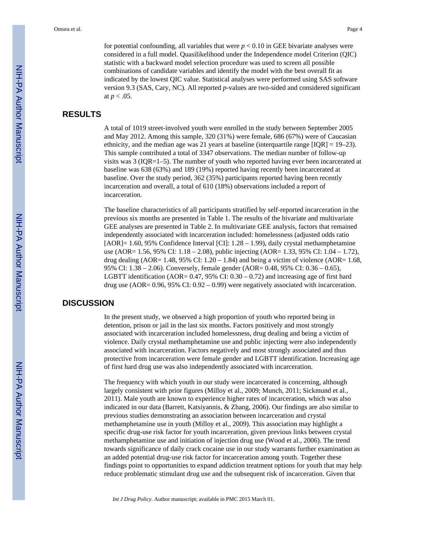for potential confounding, all variables that were  $p < 0.10$  in GEE bivariate analyses were considered in a full model. Quasilikelihood under the Independence model Criterion (QIC) statistic with a backward model selection procedure was used to screen all possible combinations of candidate variables and identify the model with the best overall fit as indicated by the lowest QIC value. Statistical analyses were performed using SAS software version 9.3 (SAS, Cary, NC). All reported *p*-values are two-sided and considered significant at  $p < .05$ .

#### **RESULTS**

A total of 1019 street-involved youth were enrolled in the study between September 2005 and May 2012. Among this sample, 320 (31%) were female, 686 (67%) were of Caucasian ethnicity, and the median age was 21 years at baseline (interquartile range  $[IQR] = 19-23$ ). This sample contributed a total of 3347 observations. The median number of follow-up visits was 3 (IQR=1–5). The number of youth who reported having ever been incarcerated at baseline was 638 (63%) and 189 (19%) reported having recently been incarcerated at baseline. Over the study period, 362 (35%) participants reported having been recently incarceration and overall, a total of 610 (18%) observations included a report of incarceration.

The baseline characteristics of all participants stratified by self-reported incarceration in the previous six months are presented in Table 1. The results of the bivariate and multivariate GEE analyses are presented in Table 2. In multivariate GEE analysis, factors that remained independently associated with incarceration included: homelessness (adjusted odds ratio [AOR]= 1.60, 95% Confidence Interval [CI]: 1.28 – 1.99), daily crystal methamphetamine use (AOR= 1.56, 95% CI: 1.18 – 2.08), public injecting (AOR= 1.33, 95% CI: 1.04 – 1.72), drug dealing (AOR= 1.48, 95% CI:  $1.20 - 1.84$ ) and being a victim of violence (AOR= 1.68, 95% CI: 1.38 – 2.06). Conversely, female gender (AOR= 0.48, 95% CI: 0.36 – 0.65), LGBTT identification (AOR=  $0.47,95\%$  CI:  $0.30 - 0.72$ ) and increasing age of first hard drug use (AOR=  $0.96$ ,  $95\%$  CI:  $0.92 - 0.99$ ) were negatively associated with incarceration.

#### **DISCUSSION**

In the present study, we observed a high proportion of youth who reported being in detention, prison or jail in the last six months. Factors positively and most strongly associated with incarceration included homelessness, drug dealing and being a victim of violence. Daily crystal methamphetamine use and public injecting were also independently associated with incarceration. Factors negatively and most strongly associated and thus protective from incarceration were female gender and LGBTT identification. Increasing age of first hard drug use was also independently associated with incarceration.

The frequency with which youth in our study were incarcerated is concerning, although largely consistent with prior figures (Milloy et al., 2009; Munch, 2011; Sickmund et al., 2011). Male youth are known to experience higher rates of incarceration, which was also indicated in our data (Barrett, Katsiyannis, & Zhang, 2006). Our findings are also similar to previous studies demonstrating an association between incarceration and crystal methamphetamine use in youth (Milloy et al., 2009). This association may highlight a specific drug-use risk factor for youth incarceration, given previous links between crystal methamphetamine use and initiation of injection drug use (Wood et al., 2006). The trend towards significance of daily crack cocaine use in our study warrants further examination as an added potential drug-use risk factor for incarceration among youth. Together these findings point to opportunities to expand addiction treatment options for youth that may help reduce problematic stimulant drug use and the subsequent risk of incarceration. Given that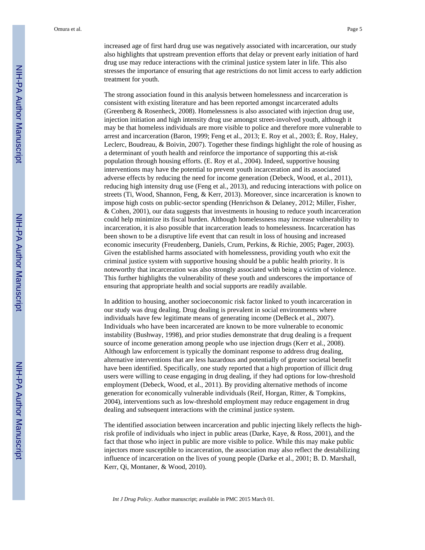increased age of first hard drug use was negatively associated with incarceration, our study also highlights that upstream prevention efforts that delay or prevent early initiation of hard drug use may reduce interactions with the criminal justice system later in life. This also stresses the importance of ensuring that age restrictions do not limit access to early addiction treatment for youth.

The strong association found in this analysis between homelessness and incarceration is consistent with existing literature and has been reported amongst incarcerated adults (Greenberg & Rosenheck, 2008). Homelessness is also associated with injection drug use, injection initiation and high intensity drug use amongst street-involved youth, although it may be that homeless individuals are more visible to police and therefore more vulnerable to arrest and incarceration (Baron, 1999; Feng et al., 2013; E. Roy et al., 2003; É. Roy, Haley, Leclerc, Boudreau, & Boivin, 2007). Together these findings highlight the role of housing as a determinant of youth health and reinforce the importance of supporting this at-risk population through housing efforts. (E. Roy et al., 2004). Indeed, supportive housing interventions may have the potential to prevent youth incarceration and its associated adverse effects by reducing the need for income generation (Debeck, Wood, et al., 2011), reducing high intensity drug use (Feng et al., 2013), and reducing interactions with police on streets (Ti, Wood, Shannon, Feng, & Kerr, 2013). Moreover, since incarceration is known to impose high costs on public-sector spending (Henrichson & Delaney, 2012; Miller, Fisher, & Cohen, 2001), our data suggests that investments in housing to reduce youth incarceration could help minimize its fiscal burden. Although homelessness may increase vulnerability to incarceration, it is also possible that incarceration leads to homelessness. Incarceration has been shown to be a disruptive life event that can result in loss of housing and increased economic insecurity (Freudenberg, Daniels, Crum, Perkins, & Richie, 2005; Pager, 2003). Given the established harms associated with homelessness, providing youth who exit the criminal justice system with supportive housing should be a public health priority. It is noteworthy that incarceration was also strongly associated with being a victim of violence. This further highlights the vulnerability of these youth and underscores the importance of ensuring that appropriate health and social supports are readily available.

In addition to housing, another socioeconomic risk factor linked to youth incarceration in our study was drug dealing. Drug dealing is prevalent in social environments where individuals have few legitimate means of generating income (DeBeck et al., 2007). Individuals who have been incarcerated are known to be more vulnerable to economic instability (Bushway, 1998), and prior studies demonstrate that drug dealing is a frequent source of income generation among people who use injection drugs (Kerr et al., 2008). Although law enforcement is typically the dominant response to address drug dealing, alternative interventions that are less hazardous and potentially of greater societal benefit have been identified. Specifically, one study reported that a high proportion of illicit drug users were willing to cease engaging in drug dealing, if they had options for low-threshold employment (Debeck, Wood, et al., 2011). By providing alternative methods of income generation for economically vulnerable individuals (Reif, Horgan, Ritter, & Tompkins, 2004), interventions such as low-threshold employment may reduce engagement in drug dealing and subsequent interactions with the criminal justice system.

The identified association between incarceration and public injecting likely reflects the highrisk profile of individuals who inject in public areas (Darke, Kaye, & Ross, 2001), and the fact that those who inject in public are more visible to police. While this may make public injectors more susceptible to incarceration, the association may also reflect the destabilizing influence of incarceration on the lives of young people (Darke et al., 2001; B. D. Marshall, Kerr, Qi, Montaner, & Wood, 2010).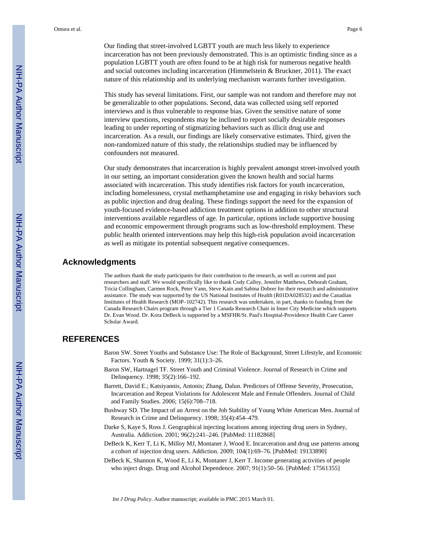Our finding that street-involved LGBTT youth are much less likely to experience incarceration has not been previously demonstrated. This is an optimistic finding since as a population LGBTT youth are often found to be at high risk for numerous negative health and social outcomes including incarceration (Himmelstein & Bruckner, 2011). The exact nature of this relationship and its underlying mechanism warrants further investigation.

This study has several limitations. First, our sample was not random and therefore may not be generalizable to other populations. Second, data was collected using self reported interviews and is thus vulnerable to response bias. Given the sensitive nature of some interview questions, respondents may be inclined to report socially desirable responses leading to under reporting of stigmatizing behaviors such as illicit drug use and incarceration. As a result, our findings are likely conservative estimates. Third, given the non-randomized nature of this study, the relationships studied may be influenced by confounders not measured.

Our study demonstrates that incarceration is highly prevalent amongst street-involved youth in our setting, an important consideration given the known health and social harms associated with incarceration. This study identifies risk factors for youth incarceration, including homelessness, crystal methamphetamine use and engaging in risky behaviors such as public injection and drug dealing. These findings support the need for the expansion of youth-focused evidence-based addiction treatment options in addition to other structural interventions available regardless of age. In particular, options include supportive housing and economic empowerment through programs such as low-threshold employment. These public health oriented interventions may help this high-risk population avoid incarceration as well as mitigate its potential subsequent negative consequences.

#### **Acknowledgments**

The authors thank the study participants for their contribution to the research, as well as current and past researchers and staff. We would specifically like to thank Cody Calloy, Jennifer Matthews, Deborah Graham, Tricia Collingham, Carmen Rock, Peter Vann, Steve Kain and Sabina Dobrer for their research and administrative assistance. The study was supported by the US National Institutes of Health (R01DA028532) and the Canadian Institutes of Health Research (MOP–102742). This research was undertaken, in part, thanks to funding from the Canada Research Chairs program through a Tier 1 Canada Research Chair in Inner City Medicine which supports Dr. Evan Wood. Dr. Kora DeBeck is supported by a MSFHR/St. Paul's Hospital-Providence Health Care Career Scholar Award.

#### **REFERENCES**

- Baron SW. Street Youths and Substance Use: The Role of Background, Street Lifestyle, and Economic Factors. Youth & Society. 1999; 31(1):3–26.
- Baron SW, Hartnagel TF. Street Youth and Criminal Violence. Journal of Research in Crime and Delinquency. 1998; 35(2):166–192.
- Barrett, David E.; Katsiyannis, Antonis; Zhang, Dalun. Predictors of Offense Severity, Prosecution, Incarceration and Repeat Violations for Adolescent Male and Female Offenders. Journal of Child and Family Studies. 2006; 15(6):708–718.
- Bushway SD. The Impact of an Arrest on the Job Stability of Young White American Men. Journal of Research in Crime and Delinquency. 1998; 35(4):454–479.
- Darke S, Kaye S, Ross J. Geographical injecting locations among injecting drug users in Sydney, Australia. Addiction. 2001; 96(2):241–246. [PubMed: 11182868]
- DeBeck K, Kerr T, Li K, Milloy MJ, Montaner J, Wood E. Incarceration and drug use patterns among a cohort of injection drug users. Addiction. 2009; 104(1):69–76. [PubMed: 19133890]
- DeBeck K, Shannon K, Wood E, Li K, Montaner J, Kerr T. Income generating activities of people who inject drugs. Drug and Alcohol Dependence. 2007; 91(1):50–56. [PubMed: 17561355]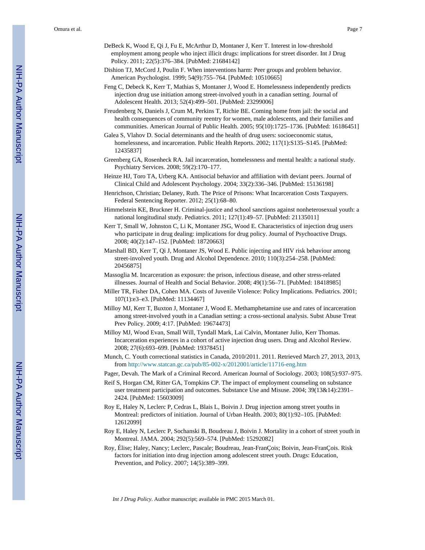- DeBeck K, Wood E, Qi J, Fu E, McArthur D, Montaner J, Kerr T. Interest in low-threshold employment among people who inject illicit drugs: implications for street disorder. Int J Drug Policy. 2011; 22(5):376–384. [PubMed: 21684142]
- Dishion TJ, McCord J, Poulin F. When interventions harm: Peer groups and problem behavior. American Psychologist. 1999; 54(9):755–764. [PubMed: 10510665]
- Feng C, Debeck K, Kerr T, Mathias S, Montaner J, Wood E. Homelessness independently predicts injection drug use initiation among street-involved youth in a canadian setting. Journal of Adolescent Health. 2013; 52(4):499–501. [PubMed: 23299006]
- Freudenberg N, Daniels J, Crum M, Perkins T, Richie BE. Coming home from jail: the social and health consequences of community reentry for women, male adolescents, and their families and communities. American Journal of Public Health. 2005; 95(10):1725–1736. [PubMed: 16186451]
- Galea S, Vlahov D. Social determinants and the health of drug users: socioeconomic status, homelessness, and incarceration. Public Health Reports. 2002; 117(1):S135–S145. [PubMed: 12435837]
- Greenberg GA, Rosenheck RA. Jail incarceration, homelessness and mental health: a national study. Psychiatry Services. 2008; 59(2):170–177.
- Heinze HJ, Toro TA, Urberg KA. Antisocial behavior and affiliation with deviant peers. Journal of Clinical Child and Adolescent Psychology. 2004; 33(2):336–346. [PubMed: 15136198]
- Henrichson, Christian; Delaney, Ruth. The Price of Prisons: What Incarceration Costs Taxpayers. Federal Sentencing Reporter. 2012; 25(1):68–80.
- Himmelstein KE, Bruckner H. Criminal-justice and school sanctions against nonheterosexual youth: a national longitudinal study. Pediatrics. 2011; 127(1):49–57. [PubMed: 21135011]
- Kerr T, Small W, Johnston C, Li K, Montaner JSG, Wood E. Characteristics of injection drug users who participate in drug dealing: implications for drug policy. Journal of Psychoactive Drugs. 2008; 40(2):147–152. [PubMed: 18720663]
- Marshall BD, Kerr T, Qi J, Montaner JS, Wood E. Public injecting and HIV risk behaviour among street-involved youth. Drug and Alcohol Dependence. 2010; 110(3):254–258. [PubMed: 20456875]
- Massoglia M. Incarceration as exposure: the prison, infectious disease, and other stress-related illnesses. Journal of Health and Social Behavior. 2008; 49(1):56–71. [PubMed: 18418985]
- Miller TR, Fisher DA, Cohen MA. Costs of Juvenile Violence: Policy Implications. Pediatrics. 2001; 107(1):e3–e3. [PubMed: 11134467]
- Milloy MJ, Kerr T, Buxton J, Montaner J, Wood E. Methamphetamine use and rates of incarceration among street-involved youth in a Canadian setting: a cross-sectional analysis. Subst Abuse Treat Prev Policy. 2009; 4:17. [PubMed: 19674473]
- Milloy MJ, Wood Evan, Small Will, Tyndall Mark, Lai Calvin, Montaner Julio, Kerr Thomas. Incarceration experiences in a cohort of active injection drug users. Drug and Alcohol Review. 2008; 27(6):693–699. [PubMed: 19378451]
- Munch, C. Youth correctional statistics in Canada, 2010/2011. 2011. Retrieved March 27, 2013, 2013, from <http://www.statcan.gc.ca/pub/85-002-x/2012001/article/11716-eng.htm>
- Pager, Devah. The Mark of a Criminal Record. American Journal of Sociology. 2003; 108(5):937–975.
- Reif S, Horgan CM, Ritter GA, Tompkins CP. The impact of employment counseling on substance user treatment participation and outcomes. Substance Use and Misuse. 2004; 39(13&14):2391– 2424. [PubMed: 15603009]
- Roy E, Haley N, Leclerc P, Cedras L, Blais L, Boivin J. Drug injection among street youths in Montreal: predictors of initiation. Journal of Urban Health. 2003; 80(1):92–105. [PubMed: 12612099]
- Roy E, Haley N, Leclerc P, Sochanski B, Boudreau J, Boivin J. Mortality in a cohort of street youth in Montreal. JAMA. 2004; 292(5):569–574. [PubMed: 15292082]
- Roy, Élise; Haley, Nancy; Leclerc, Pascale; Boudreau, Jean-FranÇois; Boivin, Jean-FranÇois. Risk factors for initiation into drug injection among adolescent street youth. Drugs: Education, Prevention, and Policy. 2007; 14(5):389–399.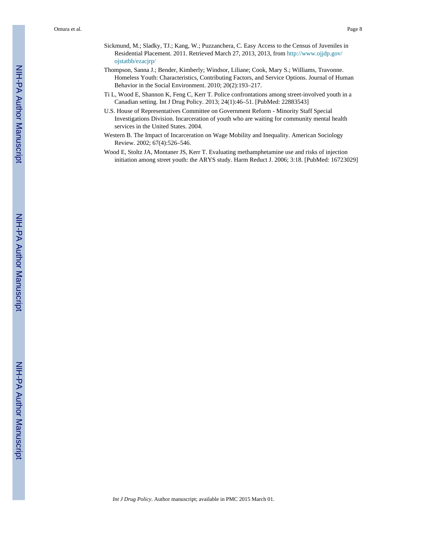- Sickmund, M.; Sladky, TJ.; Kang, W.; Puzzanchera, C. Easy Access to the Census of Juveniles in Residential Placement. 2011. Retrieved March 27, 2013, 2013, from [http://www.ojjdp.gov/](http://www.ojjdp.gov/ojstatbb/ezacjrp/) [ojstatbb/ezacjrp/](http://www.ojjdp.gov/ojstatbb/ezacjrp/)
- Thompson, Sanna J.; Bender, Kimberly; Windsor, Liliane; Cook, Mary S.; Williams, Travonne. Homeless Youth: Characteristics, Contributing Factors, and Service Options. Journal of Human Behavior in the Social Environment. 2010; 20(2):193–217.
- Ti L, Wood E, Shannon K, Feng C, Kerr T. Police confrontations among street-involved youth in a Canadian setting. Int J Drug Policy. 2013; 24(1):46–51. [PubMed: 22883543]
- U.S. House of Representatives Committee on Government Reform Minority Staff Special Investigations Division. Incarceration of youth who are waiting for community mental health services in the United States. 2004.
- Western B. The Impact of Incarceration on Wage Mobility and Inequality. American Sociology Review. 2002; 67(4):526–546.
- Wood E, Stoltz JA, Montaner JS, Kerr T. Evaluating methamphetamine use and risks of injection initiation among street youth: the ARYS study. Harm Reduct J. 2006; 3:18. [PubMed: 16723029]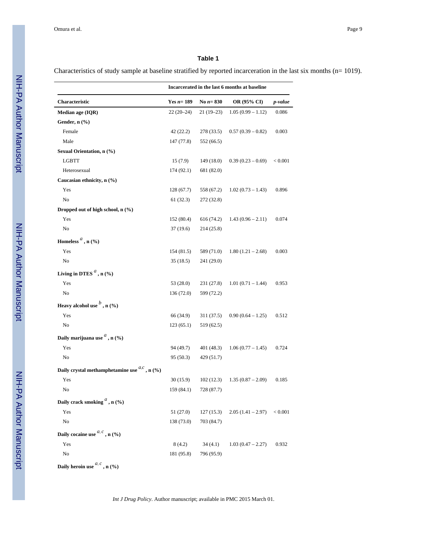#### **Table 1**

Characteristics of study sample at baseline stratified by reported incarceration in the last six months (n= 1019).

|                                                                      | Incarcerated in the last 6 months at baseline |              |                     |         |
|----------------------------------------------------------------------|-----------------------------------------------|--------------|---------------------|---------|
| Characteristic                                                       | $Yes n = 189$                                 | No $n = 830$ | OR (95% CI)         | p-value |
| Median age (IQR)                                                     | $22(20-24)$                                   | $21(19-23)$  | $1.05(0.99 - 1.12)$ | 0.086   |
| Gender, $n$ $(\%)$                                                   |                                               |              |                     |         |
| Female                                                               | 42 (22.2)                                     | 278 (33.5)   | $0.57(0.39-0.82)$   | 0.003   |
| Male                                                                 | 147 (77.8)                                    | 552 (66.5)   |                     |         |
| Sexual Orientation, n (%)                                            |                                               |              |                     |         |
| LGBTT                                                                | 15(7.9)                                       | 149 (18.0)   | $0.39(0.23-0.69)$   | < 0.001 |
| Heterosexual                                                         | 174 (92.1)                                    | 681 (82.0)   |                     |         |
| Caucasian ethnicity, n (%)                                           |                                               |              |                     |         |
| Yes                                                                  | 128 (67.7)                                    | 558 (67.2)   | $1.02(0.73-1.43)$   | 0.896   |
| No                                                                   | 61 (32.3)                                     | 272 (32.8)   |                     |         |
| Dropped out of high school, $n$ (%)                                  |                                               |              |                     |         |
| Yes                                                                  | 152 (80.4)                                    | 616 (74.2)   | $1.43(0.96 - 2.11)$ | 0.074   |
| No                                                                   | 37 (19.6)                                     | 214 (25.8)   |                     |         |
| Homeless $\alpha$ , n $(\%)$                                         |                                               |              |                     |         |
| Yes                                                                  | 154 (81.5)                                    | 589 (71.0)   | $1.80(1.21 - 2.68)$ | 0.003   |
| No                                                                   | 35(18.5)                                      | 241 (29.0)   |                     |         |
| Living in DTES $a$ , n $(*)$                                         |                                               |              |                     |         |
| Yes                                                                  | 53 (28.0)                                     | 231 (27.8)   | $1.01(0.71 - 1.44)$ | 0.953   |
| No                                                                   | 136 (72.0)                                    | 599 (72.2)   |                     |         |
| Heavy alcohol use $\overline{b}$ , n (%)                             |                                               |              |                     |         |
| Yes                                                                  | 66 (34.9)                                     | 311 (37.5)   | $0.90(0.64 - 1.25)$ | 0.512   |
| No                                                                   | 123 (65.1)                                    | 519 (62.5)   |                     |         |
| Daily marijuana use $\alpha$ , n (%)                                 |                                               |              |                     |         |
| Yes                                                                  | 94 (49.7)                                     | 401 (48.3)   | $1.06(0.77-1.45)$   | 0.724   |
| No                                                                   | 95 (50.3)                                     | 429 (51.7)   |                     |         |
| Daily crystal methamphetamine use $\real^{d,\mathcal{C}}$ , n $(\%)$ |                                               |              |                     |         |
| Yes                                                                  | 30 (15.9)                                     | 102(12.3)    | $1.35(0.87 - 2.09)$ | 0.185   |
| No                                                                   | 159 (84.1)                                    | 728 (87.7)   |                     |         |
| Daily crack smoking $\alpha$ , n $(\%)$                              |                                               |              |                     |         |
| Yes                                                                  | 51 (27.0)                                     | 127(15.3)    | $2.05(1.41 - 2.97)$ | < 0.001 |
| No                                                                   | 138 (73.0)                                    | 703 (84.7)   |                     |         |
| Daily cocaine use $a, c$ , n (%)                                     |                                               |              |                     |         |
| Yes                                                                  | 8(4.2)                                        | 34(4.1)      | $1.03(0.47 - 2.27)$ | 0.932   |
| No                                                                   | 181 (95.8)                                    | 796 (95.9)   |                     |         |
|                                                                      |                                               |              |                     |         |

Daily heroin use  $\alpha, c$  , n  $(\%)$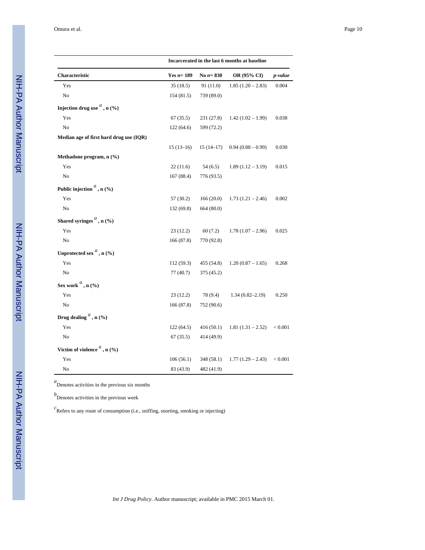|                                         |             | Incarcerated in the last 6 months at baseline |                     |         |  |
|-----------------------------------------|-------------|-----------------------------------------------|---------------------|---------|--|
| Characteristic                          | Yes $n=189$ | No $n = 830$                                  | OR (95% CI)         | p-value |  |
| Yes                                     | 35(18.5)    | 91(11.0)                                      | $1.85(1.20 - 2.83)$ | 0.004   |  |
| No                                      | 154(81.5)   | 739 (89.0)                                    |                     |         |  |
| Injection drug use $\alpha$ , n $(\%)$  |             |                                               |                     |         |  |
| Yes                                     | 67(35.5)    | 231 (27.8)                                    | $1.42(1.02 - 1.99)$ | 0.038   |  |
| No                                      | 122(64.6)   | 599 (72.2)                                    |                     |         |  |
| Median age of first hard drug use (IQR) |             |                                               |                     |         |  |
|                                         | $15(13-16)$ | $15(14-17)$                                   | $0.94(0.88-0.99)$   | 0.030   |  |
| Methadone program, n (%)                |             |                                               |                     |         |  |
| Yes                                     | 22(11.6)    | 54(6.5)                                       | $1.89(1.12 - 3.19)$ | 0.015   |  |
| No                                      | 167(88.4)   | 776 (93.5)                                    |                     |         |  |
| Public injection $\alpha$ , n (%)       |             |                                               |                     |         |  |
| Yes                                     | 57 (30.2)   | 166(20.0)                                     | $1.73(1.21 - 2.46)$ | 0.002   |  |
| No                                      | 132 (69.8)  | 664 (80.0)                                    |                     |         |  |
| Shared syringes $\alpha$ , n (%)        |             |                                               |                     |         |  |
| Yes                                     | 23(12.2)    | 60(7.2)                                       | $1.78(1.07 - 2.96)$ | 0.025   |  |
| No                                      | 166(87.8)   | 770 (92.8)                                    |                     |         |  |
| Unprotected sex $\alpha$ , n $(\%)$     |             |                                               |                     |         |  |
| Yes                                     | 112(59.3)   | 455 (54.8)                                    | $1.20(0.87 - 1.65)$ | 0.268   |  |
| No                                      | 77(40.7)    | 375 (45.2)                                    |                     |         |  |
| Sex work $\alpha$ , n $(\%)$            |             |                                               |                     |         |  |
| Yes                                     | 23(12.2)    | 78 (9.4)                                      | $1.34(0.82 - 2.19)$ | 0.250   |  |
| No                                      | 166 (87.8)  | 752 (90.6)                                    |                     |         |  |
| Drug dealing $\alpha$ , n $(\%)$        |             |                                               |                     |         |  |
| Yes                                     | 122(64.5)   | 416(50.1)                                     | $1.81(1.31 - 2.52)$ | < 0.001 |  |
| No                                      | 67(35.5)    | 414 (49.9)                                    |                     |         |  |
| Victim of violence $\alpha$ , n (%)     |             |                                               |                     |         |  |
| Yes                                     | 106(56.1)   | 348 (58.1)                                    | $1.77(1.29 - 2.43)$ | < 0.001 |  |
| No                                      | 83 (43.9)   | 482 (41.9)                                    |                     |         |  |

*a* Denotes activities in the previous six months

*b* Denotes activities in the previous week

<sup>*c*</sup> Refers to any route of consumption (i.e., sniffing, snorting, smoking or injecting)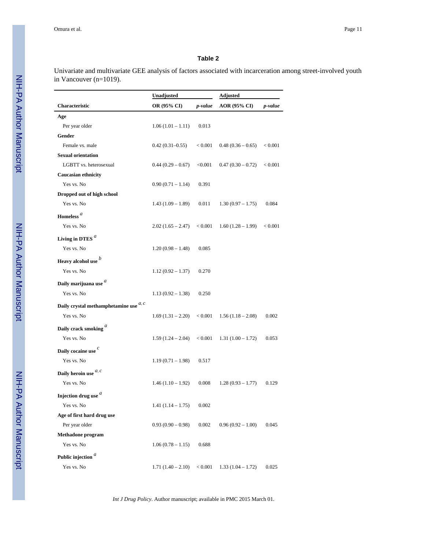#### **Table 2**

Univariate and multivariate GEE analysis of factors associated with incarceration among street-involved youth in Vancouver (n=1019).

|                                   | Unadjusted          |         | <b>Adjusted</b>        |         |
|-----------------------------------|---------------------|---------|------------------------|---------|
| Characteristic                    | OR (95% CI)         | p-value | AOR (95% CI)           | p-value |
| Age                               |                     |         |                        |         |
| Per year older                    | $1.06(1.01 - 1.11)$ | 0.013   |                        |         |
| Gender                            |                     |         |                        |         |
| Female vs. male                   | $0.42(0.31-0.55)$   | < 0.001 | $0.48$ $(0.36 - 0.65)$ | < 0.001 |
| <b>Sexual orientation</b>         |                     |         |                        |         |
| LGBTT vs. heterosexual            | $0.44(0.29-0.67)$   | < 0.001 | $0.47(0.30-0.72)$      | < 0.001 |
| Caucasian ethnicity               |                     |         |                        |         |
| Yes vs. No                        | $0.90(0.71 - 1.14)$ | 0.391   |                        |         |
| Dropped out of high school        |                     |         |                        |         |
| Yes vs. No                        | $1.43(1.09 - 1.89)$ | 0.011   | $1.30(0.97 - 1.75)$    | 0.084   |
| Homeless <sup>a</sup>             |                     |         |                        |         |
| Yes vs. No                        | $2.02(1.65 - 2.47)$ | < 0.001 | $1.60(1.28-1.99)$      | < 0.001 |
| Living in DTES $a$                |                     |         |                        |         |
| Yes vs. No                        | $1.20(0.98 - 1.48)$ | 0.085   |                        |         |
| Heavy alcohol use b               |                     |         |                        |         |
| Yes vs. No                        | $1.12(0.92 - 1.37)$ | 0.270   |                        |         |
| Daily marijuana use <sup>a</sup>  |                     |         |                        |         |
| Yes vs. No                        | $1.13(0.92 - 1.38)$ | 0.250   |                        |         |
| Daily crystal methamphetamine use |                     |         |                        |         |
| Yes vs. No                        | $1.69(1.31 - 2.20)$ | < 0.001 | $1.56(1.18-2.08)$      | 0.002   |
| Daily crack smoking <sup>a</sup>  |                     |         |                        |         |
| Yes vs. No                        | $1.59(1.24 - 2.04)$ | < 0.001 | $1.31(1.00 - 1.72)$    | 0.053   |
| Daily cocaine use $c$             |                     |         |                        |         |
| Yes vs. No                        | $1.19(0.71 - 1.98)$ | 0.517   |                        |         |
| Daily heroin use $\real^{d,\,c}$  |                     |         |                        |         |
| Yes vs. No                        | $1.46(1.10 - 1.92)$ | 0.008   | $1.28(0.93 - 1.77)$    | 0.129   |
| Injection drug use $\real^d$      |                     |         |                        |         |
| Yes vs. No                        | $1.41(1.14 - 1.75)$ | 0.002   |                        |         |
| Age of first hard drug use        |                     |         |                        |         |
| Per year older                    | $0.93(0.90-0.98)$   | 0.002   | $0.96(0.92 - 1.00)$    | 0.045   |
| <b>Methadone</b> program          |                     |         |                        |         |
| Yes vs. No                        | $1.06(0.78 - 1.15)$ | 0.688   |                        |         |
| Public injection $a$              |                     |         |                        |         |
| Yes vs. No                        | $1.71(1.40 - 2.10)$ | < 0.001 | $1.33(1.04 - 1.72)$    | 0.025   |